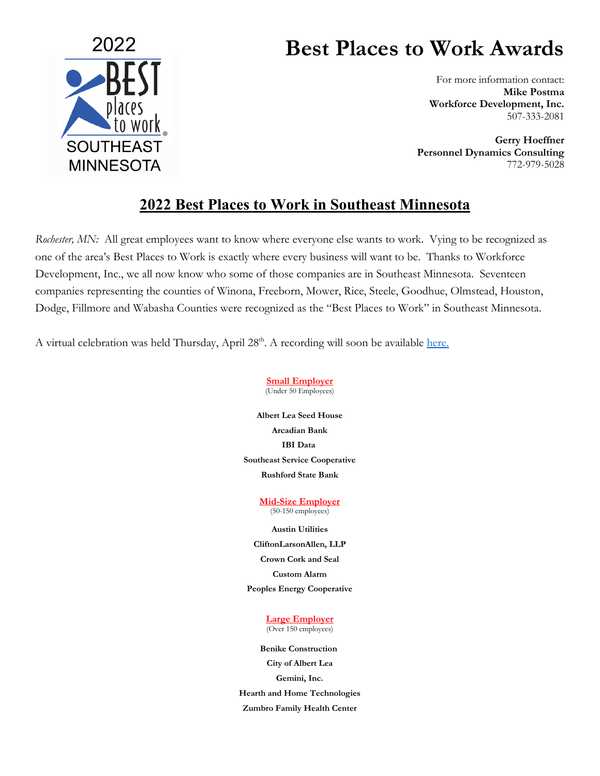

## **Best Places to Work Awards**

For more information contact: **Mike Postma Workforce Development, Inc.** 507-333-2081

**Gerry Hoeffner Personnel Dynamics Consulting** 772-979-5028

## **2022 Best Places to Work in Southeast Minnesota**

*Rochester, MN:* All great employees want to know where everyone else wants to work. Vying to be recognized as one of the area's Best Places to Work is exactly where every business will want to be. Thanks to Workforce Development, Inc., we all now know who some of those companies are in Southeast Minnesota. Seventeen companies representing the counties of Winona, Freeborn, Mower, Rice, Steele, Goodhue, Olmstead, Houston, Dodge, Fillmore and Wabasha Counties were recognized as the "Best Places to Work" in Southeast Minnesota.

A virtual celebration was held Thursday, April 28<sup>th</sup>. A recording will soon be available [here.](https://workforcedevelopmentinc.org/resources/)

**Small Employer** (Under 50 Employees)

**Albert Lea Seed House Arcadian Bank IBI Data Southeast Service Cooperative Rushford State Bank**

> **Mid-Size Employer** (50-150 employees)

> > **Austin Utilities**

**CliftonLarsonAllen, LLP**

**Crown Cork and Seal**

**Custom Alarm**

**Peoples Energy Cooperative**

**Large Employer** (Over 150 employees)

**Benike Construction City of Albert Lea Gemini, Inc. Hearth and Home Technologies Zumbro Family Health Center**